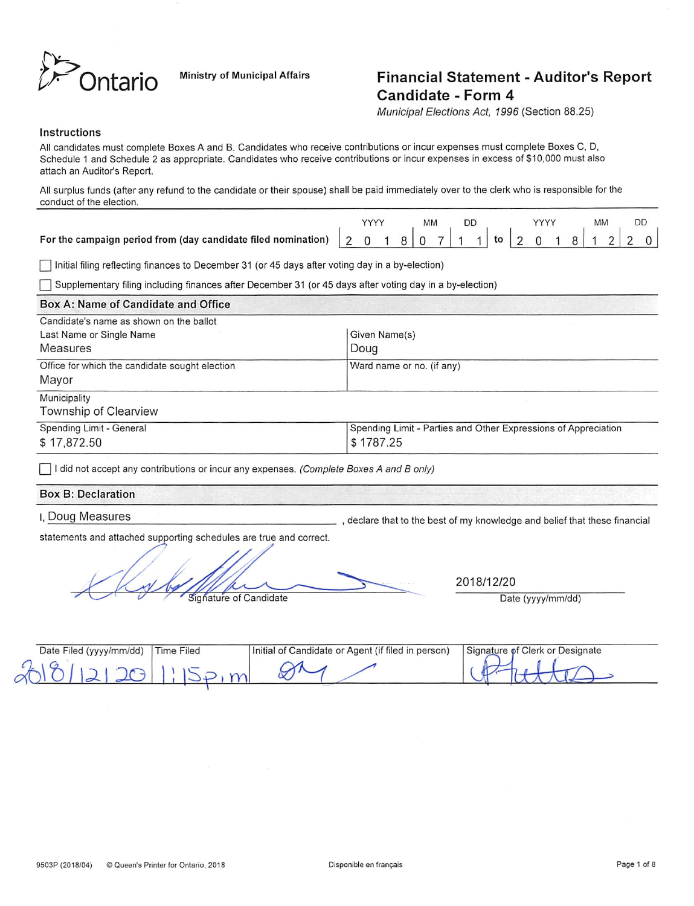

# Ontario Ministry of Municipal Affairs Financial Statement - Auditor's Report Candidate - Form 4

Municipal Elections Act, 1996 (Section 88.25)

#### Instructions

All candidates must complete Boxes A and B. Candidates who receive contributions or incur expenses must complete Boxes C. D, Schedule 1 and Schedule 2 as appropriate. Candidates who receive contributions or incur expenses in excess of \$10,000 must also attach an Auditor's Report.

All surplus funds (after any refund to the candidate or their spouse) shall be paid immediately over to the clerk who is responsible for the conduct of the election.

r~| Initial filing reflecting finances to December 31 (or 45 days after voting day in a by-election)

(~l Supplementary filing including finances after December 31 (or 45 days after voting day in a by-election)

## Box A: Name of Candidate and Office Candidate's name as shown on the ballot Last Name or Single Name Given Name Given Name (s) Measures Doug Office for which the candidate sought election Ward name or no. (if any) Mayor Municipality Township of Clearview Spending Limit - General \$ 17,872.50 Spending Limit - Parties and Other Expressions of Appreciation \$ 1787.25

 $\Box$  I did not accept any contributions or incur any expenses. (Complete Boxes A and B only)

#### Box B; Declaration

I, Doug Measures

., declare that to the best of my knowledge and belief that these financial

statements and attached supporting schedules are true and correct.

Signature of Candidate Date (yyyy/mm/dd)

2018/12/20

| Date Filed (yyyy/mm/dd) | <b>Time Filed</b> | Initial of Candidate or Agent (if filed in person) | Signature of Clerk or Designate |
|-------------------------|-------------------|----------------------------------------------------|---------------------------------|
| $\sim$<br>$\sim$        |                   |                                                    |                                 |
|                         |                   |                                                    |                                 |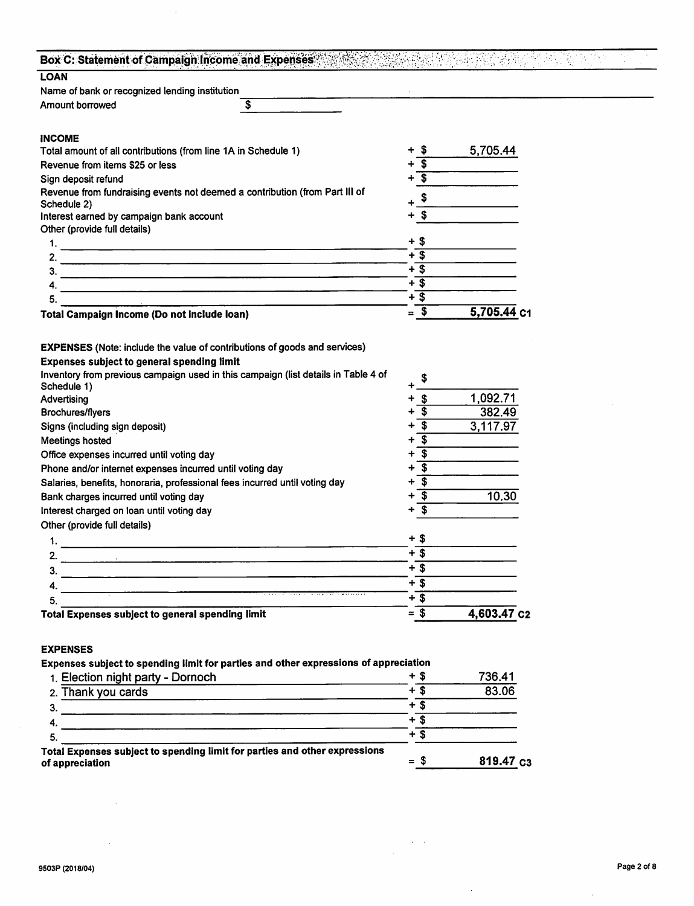| Box C: Statement of Campaign Income and Expenses                                                                                            |                                             | to a list side a Turk. |  |
|---------------------------------------------------------------------------------------------------------------------------------------------|---------------------------------------------|------------------------|--|
| <b>LOAN</b>                                                                                                                                 |                                             |                        |  |
| Name of bank or recognized lending institution                                                                                              |                                             |                        |  |
| \$<br><b>Amount borrowed</b>                                                                                                                |                                             |                        |  |
| <b>INCOME</b>                                                                                                                               |                                             |                        |  |
| Total amount of all contributions (from line 1A in Schedule 1)                                                                              | -\$                                         | 5,705.44               |  |
| Revenue from items \$25 or less                                                                                                             | $\overline{\mathbf{3}}$                     |                        |  |
| Sign deposit refund                                                                                                                         | $\overline{\mathbf{3}}$                     |                        |  |
| Revenue from fundraising events not deemed a contribution (from Part III of<br>Schedule 2)                                                  | \$                                          |                        |  |
| Interest earned by campaign bank account                                                                                                    | $\sqrt{3}$                                  |                        |  |
| Other (provide full details)                                                                                                                |                                             |                        |  |
|                                                                                                                                             | + \$                                        |                        |  |
| 2.                                                                                                                                          | $+3$                                        |                        |  |
| 3.                                                                                                                                          | $+$ \$                                      |                        |  |
| 4.                                                                                                                                          | $+3$                                        |                        |  |
| 5.                                                                                                                                          | $+$ \$                                      |                        |  |
|                                                                                                                                             | $=$ \$                                      | 5,705.44 c1            |  |
| Total Campaign Income (Do not include loan)                                                                                                 |                                             |                        |  |
| <b>EXPENSES</b> (Note: include the value of contributions of goods and services)                                                            |                                             |                        |  |
| <b>Expenses subject to general spending limit</b>                                                                                           |                                             |                        |  |
| Inventory from previous campaign used in this campaign (list details in Table 4 of                                                          | \$                                          |                        |  |
| Schedule 1)                                                                                                                                 |                                             |                        |  |
| Advertising                                                                                                                                 | \$                                          | 1,092.71               |  |
| Brochures/flyers                                                                                                                            | \$                                          | 382.49                 |  |
| Signs (including sign deposit)                                                                                                              | $\overline{\mathbf{3}}$<br>+                | 3,117.97               |  |
| Meetings hosted                                                                                                                             | $\overline{\boldsymbol{\mathsf{s}}}$<br>÷   |                        |  |
| Office expenses incurred until voting day                                                                                                   | $\overline{\boldsymbol{\mathfrak{s}}}$<br>+ |                        |  |
| Phone and/or internet expenses incurred until voting day                                                                                    | $\overline{\boldsymbol{\theta}}$<br>÷       |                        |  |
| Salaries, benefits, honoraria, professional fees incurred until voting day                                                                  | $\overline{\$}$<br>┿                        |                        |  |
| Bank charges incurred until voting day                                                                                                      | $\overline{\$}$<br>÷                        | 10.30                  |  |
| Interest charged on loan until voting day                                                                                                   | \$                                          |                        |  |
| Other (provide full details)                                                                                                                |                                             |                        |  |
| 1.                                                                                                                                          | + \$                                        |                        |  |
| 2.                                                                                                                                          | $+\overline{\$}$                            |                        |  |
| 3.<br>and the state of the state of the state of the state of the state of the state of the state of the state of the                       | $+$ \$                                      |                        |  |
| 4.                                                                                                                                          | $+$ \$                                      |                        |  |
| 5.                                                                                                                                          | $+\overline{\$}$                            |                        |  |
| Total Expenses subject to general spending limit                                                                                            | $= $$                                       | 4,603.47 c2            |  |
|                                                                                                                                             |                                             |                        |  |
| <b>EXPENSES</b>                                                                                                                             |                                             |                        |  |
| Expenses subject to spending limit for parties and other expressions of appreciation                                                        |                                             |                        |  |
| 1. Election night party - Dornoch                                                                                                           | $+$ \$                                      | 736.41                 |  |
| 2. Thank you cards<br><u> 1989 - Jan Barbara de Carlos de Carlos de Carlos de Carlos de Carlos de Carlos de Carlos de Carlos de Carlos </u> | $+$ \$                                      | 83.06                  |  |
| 3.                                                                                                                                          | $+$ \$                                      |                        |  |
| 4.                                                                                                                                          | $+\overline{\$}$                            |                        |  |
| 5.                                                                                                                                          | $+$ \$                                      |                        |  |
| Total Exponsos subject to spending limit for parties and other expressions                                                                  |                                             |                        |  |

 $\frac{1}{\sqrt{2}}\left(\frac{1}{\sqrt{2}}\right)^{2} \left(\frac{1}{\sqrt{2}}\right)^{2}$ 

 $\mathcal{L}^{\mathcal{A}}$ 

Total Expenses subject to spending limit for parties and other expressions of appreciation  $=$   $\frac{819.47}{ }$  C3

 $\sim$ 

 $\sim 10$ 

 $\hat{\mathcal{A}}$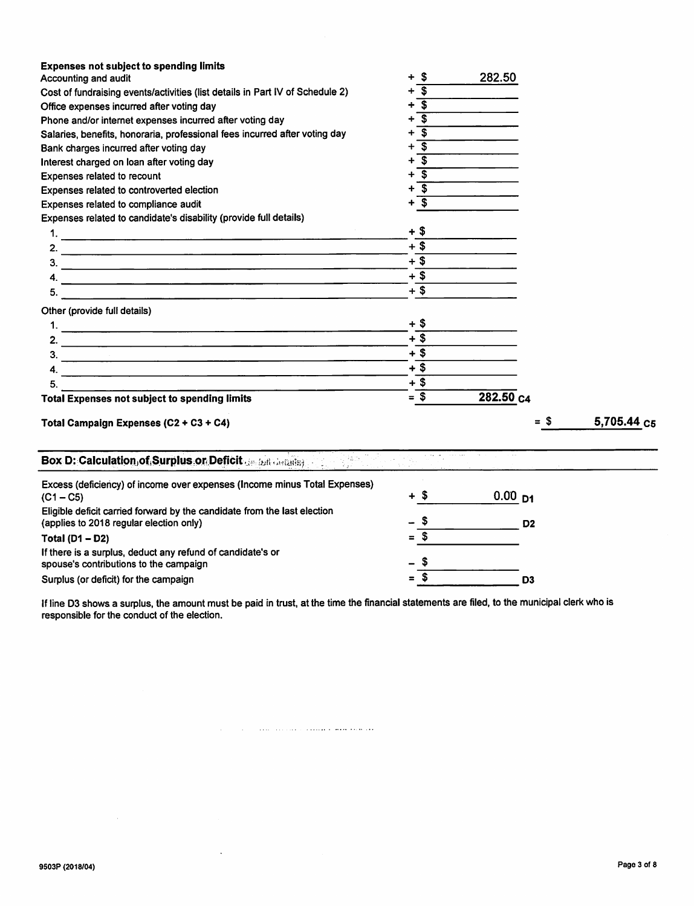| Expenses related to controverted election<br>$+$ \$<br>Expenses related to compliance audit<br>Expenses related to candidate's disability (provide full details)<br>+ \$<br>$+$ \$<br>$+$ \$<br>$\frac{3}{2}$<br>$+$ \$<br>$+$ \$<br>5.<br>Other (provide full details)<br>+ \$<br>1.<br>$+$ \$<br>$+$ \$<br>3.<br>$+$ \$<br>4.<br><u> 1980 - Jan Barristo, martin de la provincia de la provincia de la provincia de la provincia de la provincia d</u><br>$+ $$<br>5.<br>$=$ \$<br>282.50 c4<br><b>Total Expenses not subject to spending limits</b><br>5,705.44 C5<br>= \$<br>Total Campaign Expenses (C2 + C3 + C4)<br>ing pangalangan<br>Pagangang<br>Box D: Calculation of Surplus or Deficit de Edit Astatist<br>Excess (deficiency) of income over expenses (Income minus Total Expenses)<br>- S<br>0.00 <sub>p1</sub><br>$(C1 - C5)$<br>Eligible deficit carried forward by the candidate from the last election<br>$\mathfrak s$<br>(applies to 2018 regular election only)<br>D <sub>2</sub><br>$=$ \$<br>Total $(D1 - D2)$<br>If there is a surplus, deduct any refund of candidate's or<br>spouse's contributions to the campaign<br>$\sqrt{3}$<br>Surplus (or deficit) for the campaign<br>D <sub>3</sub> | <b>Expenses not subject to spending limits</b><br>Accounting and audit<br>Cost of fundraising events/activities (list details in Part IV of Schedule 2)<br>Office expenses incurred after voting day<br>Phone and/or internet expenses incurred after voting day<br>Salaries, benefits, honoraria, professional fees incurred after voting day<br>Bank charges incurred after voting day<br>Interest charged on loan after voting day<br>Expenses related to recount | -\$<br>+<br>- \$<br>+<br>$\overline{\mathbf{s}}$<br>÷<br>$\overline{\mathbf{s}}$<br>÷<br>$\overline{\mathfrak{s}}$<br>÷<br>$\overline{\mathbf{s}}$<br>$\ddot{}$<br>$+$ $\overline{\$}$<br>$+$ \$<br>$+$ \$ | 282.50 |  |
|-------------------------------------------------------------------------------------------------------------------------------------------------------------------------------------------------------------------------------------------------------------------------------------------------------------------------------------------------------------------------------------------------------------------------------------------------------------------------------------------------------------------------------------------------------------------------------------------------------------------------------------------------------------------------------------------------------------------------------------------------------------------------------------------------------------------------------------------------------------------------------------------------------------------------------------------------------------------------------------------------------------------------------------------------------------------------------------------------------------------------------------------------------------------------------------------------------------------------|----------------------------------------------------------------------------------------------------------------------------------------------------------------------------------------------------------------------------------------------------------------------------------------------------------------------------------------------------------------------------------------------------------------------------------------------------------------------|------------------------------------------------------------------------------------------------------------------------------------------------------------------------------------------------------------|--------|--|
|                                                                                                                                                                                                                                                                                                                                                                                                                                                                                                                                                                                                                                                                                                                                                                                                                                                                                                                                                                                                                                                                                                                                                                                                                         |                                                                                                                                                                                                                                                                                                                                                                                                                                                                      |                                                                                                                                                                                                            |        |  |
|                                                                                                                                                                                                                                                                                                                                                                                                                                                                                                                                                                                                                                                                                                                                                                                                                                                                                                                                                                                                                                                                                                                                                                                                                         |                                                                                                                                                                                                                                                                                                                                                                                                                                                                      |                                                                                                                                                                                                            |        |  |
|                                                                                                                                                                                                                                                                                                                                                                                                                                                                                                                                                                                                                                                                                                                                                                                                                                                                                                                                                                                                                                                                                                                                                                                                                         |                                                                                                                                                                                                                                                                                                                                                                                                                                                                      |                                                                                                                                                                                                            |        |  |
|                                                                                                                                                                                                                                                                                                                                                                                                                                                                                                                                                                                                                                                                                                                                                                                                                                                                                                                                                                                                                                                                                                                                                                                                                         |                                                                                                                                                                                                                                                                                                                                                                                                                                                                      |                                                                                                                                                                                                            |        |  |
|                                                                                                                                                                                                                                                                                                                                                                                                                                                                                                                                                                                                                                                                                                                                                                                                                                                                                                                                                                                                                                                                                                                                                                                                                         |                                                                                                                                                                                                                                                                                                                                                                                                                                                                      |                                                                                                                                                                                                            |        |  |
|                                                                                                                                                                                                                                                                                                                                                                                                                                                                                                                                                                                                                                                                                                                                                                                                                                                                                                                                                                                                                                                                                                                                                                                                                         |                                                                                                                                                                                                                                                                                                                                                                                                                                                                      |                                                                                                                                                                                                            |        |  |
|                                                                                                                                                                                                                                                                                                                                                                                                                                                                                                                                                                                                                                                                                                                                                                                                                                                                                                                                                                                                                                                                                                                                                                                                                         |                                                                                                                                                                                                                                                                                                                                                                                                                                                                      |                                                                                                                                                                                                            |        |  |
|                                                                                                                                                                                                                                                                                                                                                                                                                                                                                                                                                                                                                                                                                                                                                                                                                                                                                                                                                                                                                                                                                                                                                                                                                         |                                                                                                                                                                                                                                                                                                                                                                                                                                                                      |                                                                                                                                                                                                            |        |  |
|                                                                                                                                                                                                                                                                                                                                                                                                                                                                                                                                                                                                                                                                                                                                                                                                                                                                                                                                                                                                                                                                                                                                                                                                                         |                                                                                                                                                                                                                                                                                                                                                                                                                                                                      |                                                                                                                                                                                                            |        |  |
|                                                                                                                                                                                                                                                                                                                                                                                                                                                                                                                                                                                                                                                                                                                                                                                                                                                                                                                                                                                                                                                                                                                                                                                                                         |                                                                                                                                                                                                                                                                                                                                                                                                                                                                      |                                                                                                                                                                                                            |        |  |
|                                                                                                                                                                                                                                                                                                                                                                                                                                                                                                                                                                                                                                                                                                                                                                                                                                                                                                                                                                                                                                                                                                                                                                                                                         |                                                                                                                                                                                                                                                                                                                                                                                                                                                                      |                                                                                                                                                                                                            |        |  |
|                                                                                                                                                                                                                                                                                                                                                                                                                                                                                                                                                                                                                                                                                                                                                                                                                                                                                                                                                                                                                                                                                                                                                                                                                         |                                                                                                                                                                                                                                                                                                                                                                                                                                                                      |                                                                                                                                                                                                            |        |  |
|                                                                                                                                                                                                                                                                                                                                                                                                                                                                                                                                                                                                                                                                                                                                                                                                                                                                                                                                                                                                                                                                                                                                                                                                                         |                                                                                                                                                                                                                                                                                                                                                                                                                                                                      |                                                                                                                                                                                                            |        |  |
|                                                                                                                                                                                                                                                                                                                                                                                                                                                                                                                                                                                                                                                                                                                                                                                                                                                                                                                                                                                                                                                                                                                                                                                                                         |                                                                                                                                                                                                                                                                                                                                                                                                                                                                      |                                                                                                                                                                                                            |        |  |
|                                                                                                                                                                                                                                                                                                                                                                                                                                                                                                                                                                                                                                                                                                                                                                                                                                                                                                                                                                                                                                                                                                                                                                                                                         |                                                                                                                                                                                                                                                                                                                                                                                                                                                                      |                                                                                                                                                                                                            |        |  |
|                                                                                                                                                                                                                                                                                                                                                                                                                                                                                                                                                                                                                                                                                                                                                                                                                                                                                                                                                                                                                                                                                                                                                                                                                         |                                                                                                                                                                                                                                                                                                                                                                                                                                                                      |                                                                                                                                                                                                            |        |  |
|                                                                                                                                                                                                                                                                                                                                                                                                                                                                                                                                                                                                                                                                                                                                                                                                                                                                                                                                                                                                                                                                                                                                                                                                                         |                                                                                                                                                                                                                                                                                                                                                                                                                                                                      |                                                                                                                                                                                                            |        |  |
|                                                                                                                                                                                                                                                                                                                                                                                                                                                                                                                                                                                                                                                                                                                                                                                                                                                                                                                                                                                                                                                                                                                                                                                                                         |                                                                                                                                                                                                                                                                                                                                                                                                                                                                      |                                                                                                                                                                                                            |        |  |
|                                                                                                                                                                                                                                                                                                                                                                                                                                                                                                                                                                                                                                                                                                                                                                                                                                                                                                                                                                                                                                                                                                                                                                                                                         |                                                                                                                                                                                                                                                                                                                                                                                                                                                                      |                                                                                                                                                                                                            |        |  |
|                                                                                                                                                                                                                                                                                                                                                                                                                                                                                                                                                                                                                                                                                                                                                                                                                                                                                                                                                                                                                                                                                                                                                                                                                         |                                                                                                                                                                                                                                                                                                                                                                                                                                                                      |                                                                                                                                                                                                            |        |  |
|                                                                                                                                                                                                                                                                                                                                                                                                                                                                                                                                                                                                                                                                                                                                                                                                                                                                                                                                                                                                                                                                                                                                                                                                                         |                                                                                                                                                                                                                                                                                                                                                                                                                                                                      |                                                                                                                                                                                                            |        |  |
|                                                                                                                                                                                                                                                                                                                                                                                                                                                                                                                                                                                                                                                                                                                                                                                                                                                                                                                                                                                                                                                                                                                                                                                                                         |                                                                                                                                                                                                                                                                                                                                                                                                                                                                      |                                                                                                                                                                                                            |        |  |

If line D3 shows a surplus, the amount must be paid in trust, at the time the financial statements are filed, to the municipal clerk who is responsible for the conduct of the election.

 $\mathcal{L}_{\mathcal{A}}$  , and the second constraint is a more constraint.

 $\mathcal{L}^{\mathcal{L}}$ 

 $\sim 10^{-11}$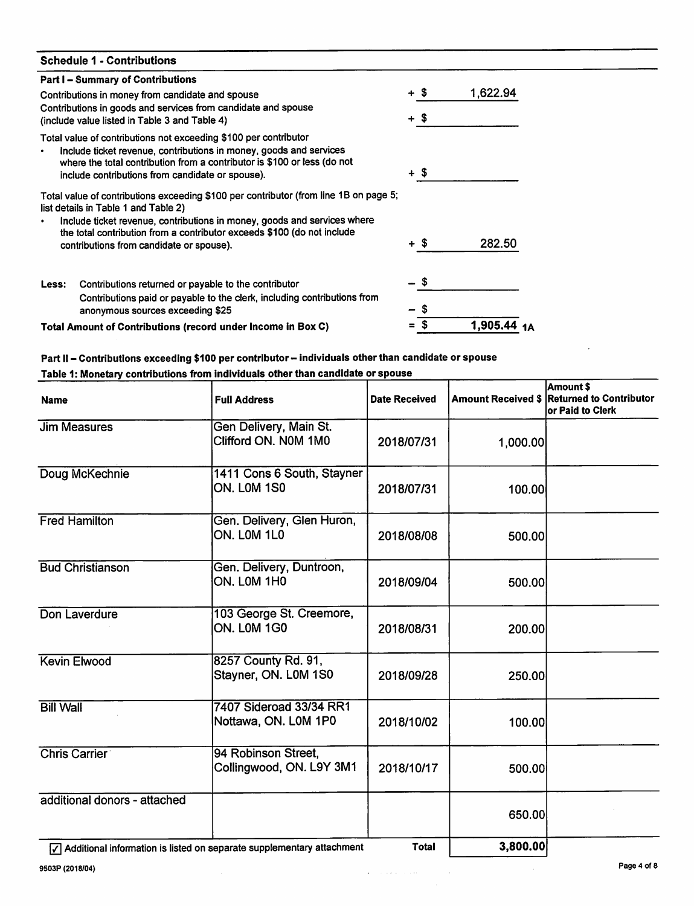|       | <b>Schedule 1 - Contributions</b>                                                                                                                                                                                                                                                                                                |            |          |
|-------|----------------------------------------------------------------------------------------------------------------------------------------------------------------------------------------------------------------------------------------------------------------------------------------------------------------------------------|------------|----------|
|       | <b>Part I-Summary of Contributions</b>                                                                                                                                                                                                                                                                                           |            |          |
|       | Contributions in money from candidate and spouse                                                                                                                                                                                                                                                                                 | + \$       | 1,622.94 |
|       | Contributions in goods and services from candidate and spouse<br>(include value listed in Table 3 and Table 4)                                                                                                                                                                                                                   | + \$       |          |
|       | Total value of contributions not exceeding \$100 per contributor<br>Include ticket revenue, contributions in money, goods and services<br>where the total contribution from a contributor is \$100 or less (do not<br>include contributions from candidate or spouse).                                                           | + \$       |          |
|       | Total value of contributions exceeding \$100 per contributor (from line 1B on page 5;<br>list details in Table 1 and Table 2)<br>Include ticket revenue, contributions in money, goods and services where<br>the total contribution from a contributor exceeds \$100 (do not include<br>contributions from candidate or spouse). | + S        | 282.50   |
| Less: | Contributions returned or payable to the contributor<br>Contributions paid or payable to the clerk, including contributions from<br>anonymous sources exceeding \$25                                                                                                                                                             | - \$<br>\$ |          |
|       | Total Amount of Contributions (record under Income in Box C)                                                                                                                                                                                                                                                                     |            | 1.905.44 |

| <b>Name</b>                  | <b>Full Address</b>                              | <b>Date Received</b> |          | Amount \$<br>Amount Received \$ Returned to Contributor<br>or Paid to Clerk |
|------------------------------|--------------------------------------------------|----------------------|----------|-----------------------------------------------------------------------------|
| <b>Jim Measures</b>          | Gen Delivery, Main St.<br>Clifford ON. N0M 1M0   | 2018/07/31           | 1,000.00 |                                                                             |
| Doug McKechnie               | 1411 Cons 6 South, Stayner<br><b>ON. LOM 1S0</b> | 2018/07/31           | 100.00   |                                                                             |
| <b>Fred Hamilton</b>         | Gen. Delivery, Glen Huron,<br>ON. LOM 1L0        | 2018/08/08           | 500.00   |                                                                             |
| <b>Bud Christianson</b>      | Gen. Delivery, Duntroon,<br>ON. LOM 1H0          | 2018/09/04           | 500.00   |                                                                             |
| Don Laverdure                | 103 George St. Creemore,<br>ON. LOM 1G0          | 2018/08/31           | 200.00   |                                                                             |
| <b>Kevin Elwood</b>          | 8257 County Rd. 91,<br>Stayner, ON. L0M 1S0      | 2018/09/28           | 250.00   |                                                                             |
| <b>Bill Wall</b>             | 7407 Sideroad 33/34 RR1<br>Nottawa, ON. L0M 1P0  | 2018/10/02           | 100.00   |                                                                             |
| <b>Chris Carrier</b>         | 94 Robinson Street,<br>Collingwood, ON. L9Y 3M1  | 2018/10/17           | 500.00   |                                                                             |
| additional donors - attached |                                                  |                      | 650.00   |                                                                             |
|                              |                                                  | <b>T-4-L</b>         | na ana c |                                                                             |

[7] Additional information is listed on separate supplementary attachment Total [150] Total 15,800.00

 $\overline{\phantom{a}}$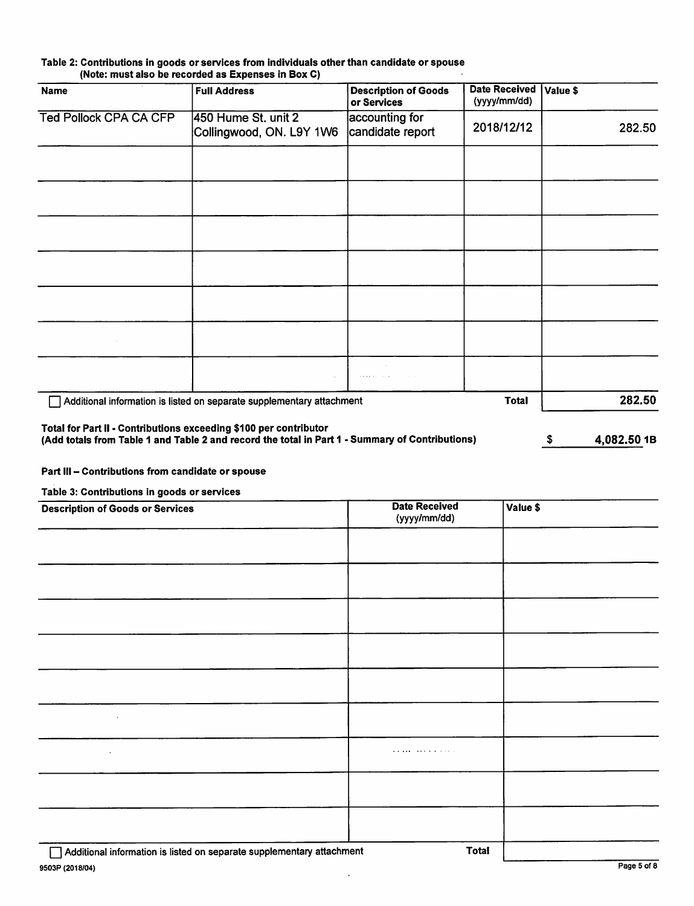#### Table 2: Contributions in goods or services from individuals other than candidate or spouse (Note: must also be recorded as Expenses in Box 0)

| <b>Name</b>                   | <b>Full Address</b>                                                                                                                                                  | <b>Description of Goods</b><br>or Services | <b>Date Received</b><br>(yyyy/mm/dd) | Value \$           |
|-------------------------------|----------------------------------------------------------------------------------------------------------------------------------------------------------------------|--------------------------------------------|--------------------------------------|--------------------|
| <b>Ted Pollock CPA CA CFP</b> | 450 Hume St. unit 2                                                                                                                                                  | accounting for                             |                                      |                    |
|                               | Collingwood, ON. L9Y 1W6                                                                                                                                             | candidate report                           | 2018/12/12                           | 282.50             |
|                               |                                                                                                                                                                      |                                            |                                      |                    |
|                               |                                                                                                                                                                      |                                            |                                      |                    |
|                               |                                                                                                                                                                      |                                            |                                      |                    |
|                               |                                                                                                                                                                      |                                            |                                      |                    |
|                               |                                                                                                                                                                      |                                            |                                      |                    |
|                               |                                                                                                                                                                      |                                            |                                      |                    |
|                               |                                                                                                                                                                      |                                            |                                      |                    |
|                               |                                                                                                                                                                      |                                            |                                      |                    |
|                               |                                                                                                                                                                      |                                            |                                      |                    |
|                               |                                                                                                                                                                      |                                            |                                      |                    |
|                               | Additional information is listed on separate supplementary attachment                                                                                                |                                            | <b>Total</b>                         | 282.50             |
|                               | Total for Part II - Contributions exceeding \$100 per contributor<br>(Add totals from Table 1 and Table 2 and record the total in Part 1 - Summary of Contributions) |                                            |                                      | 4,082.50 1B<br>\$. |

Part III - Contributions from candidate or spouse

Table 3: Contributions in goods or services

| <b>Description of Goods or Services</b>                               | <b>Date Received</b><br>(yyyy/mm/dd) | Value \$ |
|-----------------------------------------------------------------------|--------------------------------------|----------|
|                                                                       |                                      |          |
|                                                                       |                                      |          |
|                                                                       |                                      |          |
|                                                                       |                                      |          |
|                                                                       |                                      |          |
| $\sim$                                                                |                                      |          |
| $\mathcal{A}^{\mathcal{A}}$                                           |                                      |          |
|                                                                       |                                      |          |
|                                                                       |                                      |          |
| Additional information is lieted on congrate cumplementary attachment | Total                                |          |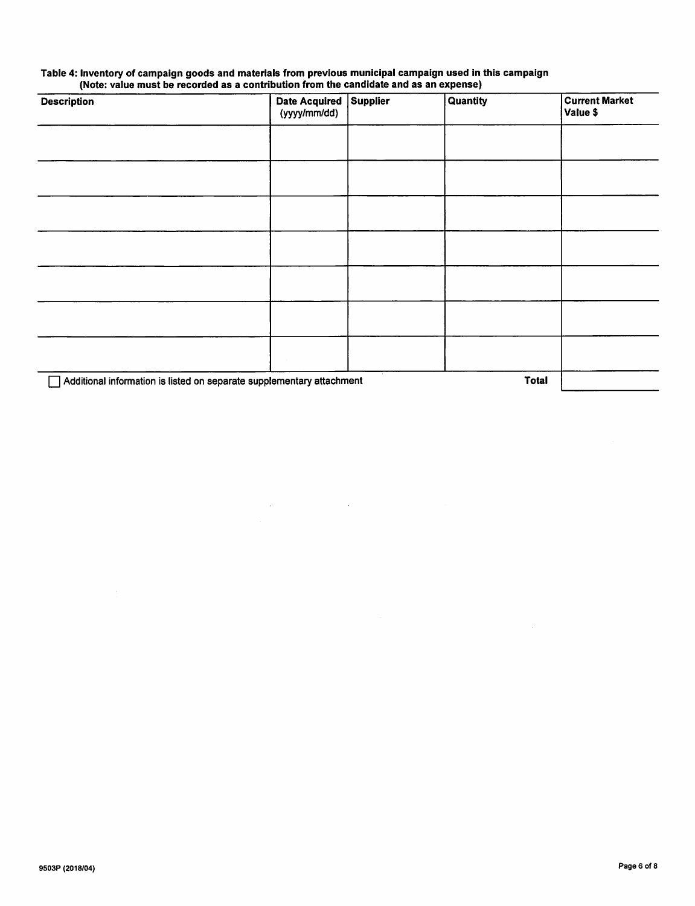### Table 4: Inventory of campaign goods and materials from previous municipal campaign used in this campaign (Note: value must be recorded as a contribution from the candidate and as an expense)

| <b>Description</b>                                                    | Date Acquired Supplier<br>(yyyy/mm/dd) | Quantity | <b>Current Market</b><br>Value \$ |
|-----------------------------------------------------------------------|----------------------------------------|----------|-----------------------------------|
| $\sim$                                                                |                                        |          |                                   |
|                                                                       |                                        |          |                                   |
|                                                                       |                                        |          |                                   |
|                                                                       |                                        |          |                                   |
|                                                                       |                                        |          |                                   |
|                                                                       |                                        |          |                                   |
|                                                                       |                                        |          |                                   |
| Additional information is listed on separate supplementary attachment |                                        |          | <b>Total</b>                      |

 $\label{eq:2.1} \mathcal{L}_{\mathcal{A}}(\mathcal{L}_{\mathcal{A}}) = \mathcal{L}_{\mathcal{A}}(\mathcal{L}_{\mathcal{A}}) = \mathcal{L}_{\mathcal{A}}(\mathcal{L}_{\mathcal{A}})$ 

 $\sim 10^7$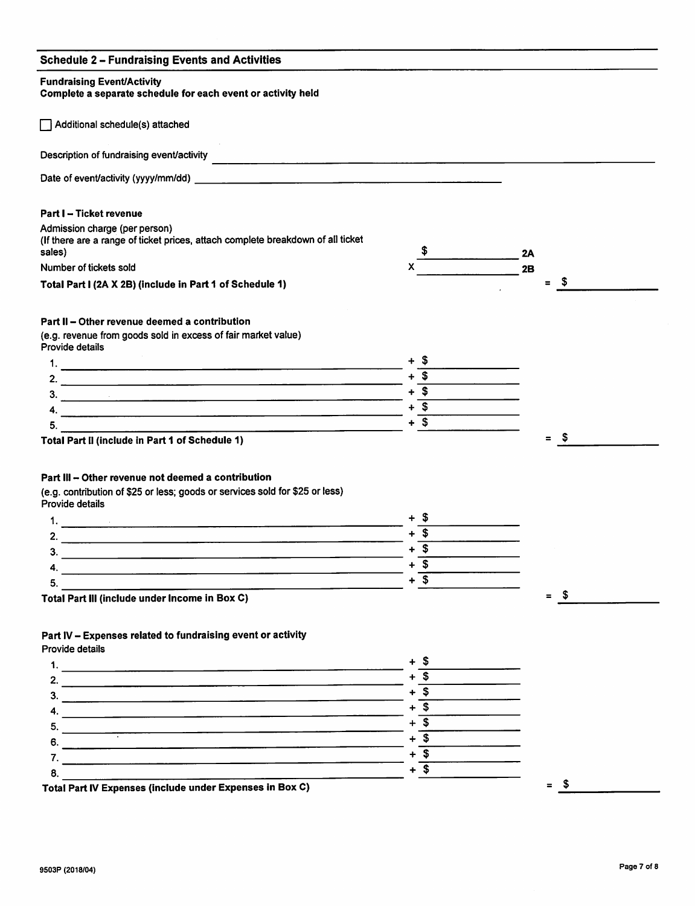## Schedule 2 - Fundraising Events and Activities

## Fundraising Event/Activity Complete a separate schedule for each event or activity held  $\Box$  Additional schedule(s) attached Description of fundraising event/activity Date of event/activity (yyyy/mm/dd) Part I - Ticket revenue Admission charge (per person) (if there are a range of ticket prices, attach complete breakdown of all ticket sales) Number of tickets sold X Total Part I (2A X 2B) (include in Part 1 of Schedule 1)  $-2A$ **2B**  $=$  \$ Part II - Other revenue deemed a contribution (e.g. revenue from goods sold in excess of fair market value) Provide details 1. + \$ 2.  $+$  \$  $+$  \$  $+$  \$  $+$  \$  $+$  \$  $+$  \$  $+$  \$  $+$  \$  $+$  \$  $+$  \$  $+$  \$  $+$  \$  $+$  \$  $+$  \$  $+$  \$  $+$  \$  $+$  \$  $+$  \$  $+$  \$  $+$  \$  $+$  \$  $+$  \$  $+$  \$  $+$  \$  $+$  \$  $+$  \$  $+$  \$  $+$  \$  $+$  \$  $+$  \$  $+$  \$  $+$  \$  $+$  \$  $+$  \$  $+$  \$  $+$  \$  $+$  $3.$ 4. + \$  $\overline{5.}$  + \$ Total Part II (include in Part 1 of Schedule 1) Part III - Other revenue not deemed a contribution (e.g. contribution of \$25 or less; goods or services sold for \$25 or less) Provide details 1.  $+$  \$ 2.  $\frac{2.}{3.}$   $\frac{+ 5}{1.}$  $3.$   $\frac{1}{2}$   $\frac{1}{2}$   $\frac{1}{2}$   $\frac{1}{2}$   $\frac{1}{2}$   $\frac{1}{2}$   $\frac{1}{2}$   $\frac{1}{2}$   $\frac{1}{2}$   $\frac{1}{2}$   $\frac{1}{2}$   $\frac{1}{2}$   $\frac{1}{2}$   $\frac{1}{2}$   $\frac{1}{2}$   $\frac{1}{2}$   $\frac{1}{2}$   $\frac{1}{2}$   $\frac{1}{2}$   $\frac{1}{2}$   $\frac{1}{2}$   $\frac{1}{$  $4. \frac{1}{5} + \frac{1}{5}$  $5.$ = \$ = \$

Total Part III (include under Income in Box 0)

## Part IV - Expenses related to fundraising event or activity

Provide details

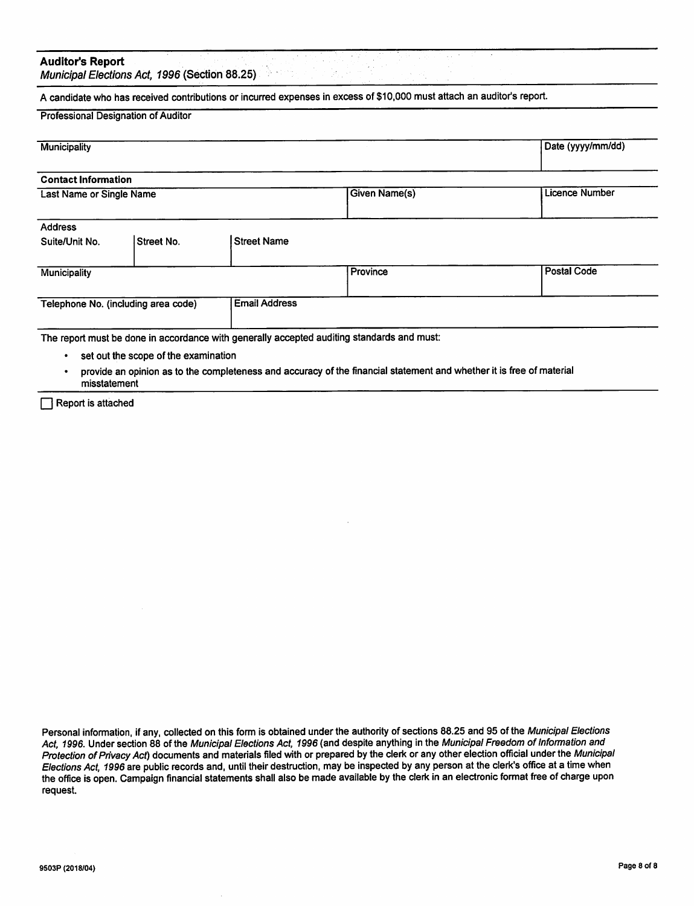## Auditor's Report

Municipal Elections Act, 1996 (Section 88.25)

A candidate who has received contributions or incurred expenses in excess of \$10,000 must attach an auditor's report.

#### Professional Designation of Auditor

| <b>Municipality</b>                                         |            |                      |                | Date (yyyy/mm/dd)  |
|-------------------------------------------------------------|------------|----------------------|----------------|--------------------|
| <b>Contact Information</b>                                  |            |                      |                |                    |
| Last Name or Single Name                                    |            | <b>Given Name(s)</b> | Licence Number |                    |
| <b>Address</b>                                              |            |                      |                |                    |
| Suite/Unit No.                                              | Street No. | <b>Street Name</b>   |                |                    |
| Municipality                                                |            |                      | Province       | <b>Postal Code</b> |
| <b>Email Address</b><br>Telephone No. (including area code) |            |                      |                |                    |
|                                                             |            |                      |                |                    |

The report must be done in accordance with generally accepted auditing standards and must:

- set out the scope of the examination
- provide an opinion as to the completeness and accuracy of the financial statement and whether it is free of material misstatement

 $\Box$  Report is attached

Personal information, if any, collected on this form is obtained under the authority of sections 88.25 and 95 of the Municipal Elections Act, 1996. Under section 88 of the Municipal Elections Act, 1996 (and despite anything in the Municipal Freedom of Information and Protection of Privacy Act) documents and materials filed with or prepared by the clerk or any other election official under the Municipal Elections Act, 1996 are public records and, until their destruction, may be inspected by any person at the clerk's office at a time when the office is open. Campaign financial statements shall also be made available by the clerk in an electronic format free of charge upon request.